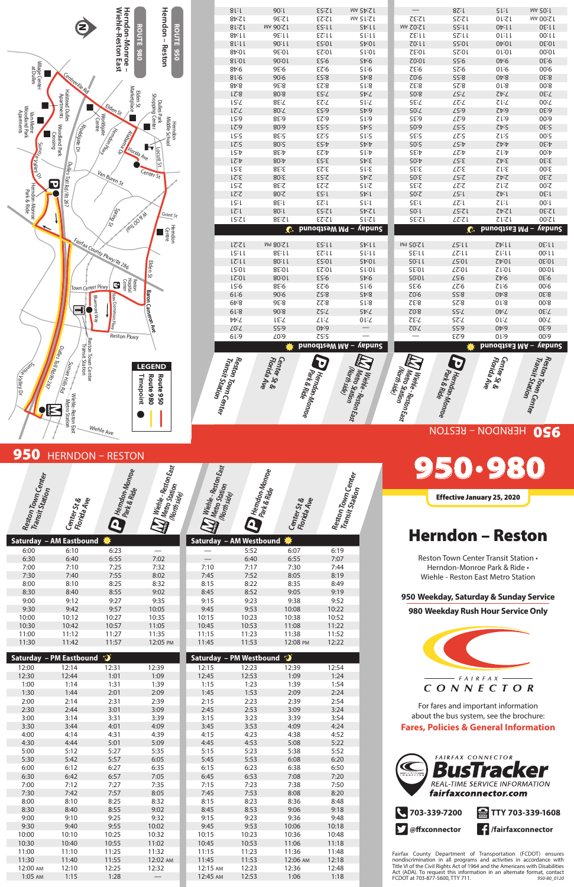## 950 HERNDON - RESTON



|       | Saturday – AM Eastbound # |       |          |       | Saturday – AM Westbound <b>茶</b> |          |       |
|-------|---------------------------|-------|----------|-------|----------------------------------|----------|-------|
| 6:00  | 6:10                      | 6:23  |          |       | 5:52                             | 6:07     | 6:19  |
| 6:30  | 6:40                      | 6:55  | 7:02     |       | 6:40                             | 6:55     | 7:07  |
| 7:00  | 7:10                      | 7:25  | 7:32     | 7:10  | 7:17                             | 7:30     | 7:44  |
| 7:30  | 7:40                      | 7:55  | 8:02     | 7:45  | 7:52                             | 8:05     | 8:19  |
| 8:00  | 8:10                      | 8:25  | 8:32     | 8:15  | 8:22                             | 8:35     | 8:49  |
| 8:30  | 8:40                      | 8:55  | 9:02     | 8:45  | 8:52                             | 9:05     | 9:19  |
| 9:00  | 9:12                      | 9:27  | 9:35     | 9:15  | 9:23                             | 9:38     | 9:52  |
| 9:30  | 9:42                      | 9:57  | 10:05    | 9:45  | 9:53                             | 10:08    | 10:22 |
| 10:00 | 10:12                     | 10:27 | 10:35    | 10:15 | 10:23                            | 10:38    | 10:52 |
| 10:30 | 10:42                     | 10:57 | 11:05    | 10:45 | 10:53                            | 11:08    | 11:22 |
| 11:00 | 11:12                     | 11:27 | 11:35    | 11:15 | 11:23                            | 11:38    | 11:52 |
| 11:30 | 11:42                     | 11:57 | 12:05 PM | 11:45 | 11:53                            | 12:08 PM | 12:22 |

|           | <b>Saturday - PM Eastbound</b> | D     |          |          | <b>Saturday - PM Westbound</b> | ∙ા       |       |
|-----------|--------------------------------|-------|----------|----------|--------------------------------|----------|-------|
| 12:00     | 12:14                          | 12:31 | 12:39    | 12:15    | 12:23                          | 12:39    | 12:54 |
| 12:30     | 12:44                          | 1:01  | 1:09     | 12:45    | 12:53                          | 1:09     | 1:24  |
| 1:00      | 1:14                           | 1:31  | 1:39     | 1:15     | 1:23                           | 1:39     | 1:54  |
| 1:30      | 1:44                           | 2:01  | 2:09     | 1:45     | 1:53                           | 2:09     | 2:24  |
| 2:00      | 2:14                           | 2:31  | 2:39     | 2:15     | 2:23                           | 2:39     | 2:54  |
| 2:30      | 2:44                           | 3:01  | 3:09     | 2:45     | 2:53                           | 3:09     | 3:24  |
| 3:00      | 3:14                           | 3:31  | 3:39     | 3:15     | 3:23                           | 3:39     | 3:54  |
| 3:30      | 3:44                           | 4:01  | 4:09     | 3:45     | 3:53                           | 4:09     | 4:24  |
| 4:00      | 4:14                           | 4:31  | 4:39     | 4:15     | 4:23                           | 4:38     | 4:52  |
| 4:30      | 4:44                           | 5:01  | 5:09     | 4:45     | 4:53                           | 5:08     | 5:22  |
| 5:00      | 5:12                           | 5:27  | 5:35     | 5:15     | 5:23                           | 5:38     | 5:52  |
| 5:30      | 5:42                           | 5:57  | 6:05     | 5:45     | 5:53                           | 6:08     | 6:20  |
| 6:00      | 6:12                           | 6:27  | 6:35     | 6:15     | 6:23                           | 6:38     | 6:50  |
| 6:30      | 6:42                           | 6:57  | 7:05     | 6:45     | 6:53                           | 7:08     | 7:20  |
| 7:00      | 7:12                           | 7:27  | 7:35     | 7:15     | 7:23                           | 7:38     | 7:50  |
| 7:30      | 7:42                           | 7:57  | 8:05     | 7:45     | 7:53                           | 8:08     | 8:20  |
| 8:00      | 8:10                           | 8:25  | 8:32     | 8:15     | 8:23                           | 8:36     | 8:48  |
| 8:30      | 8:40                           | 8:55  | 9:02     | 8:45     | 8:53                           | 9:06     | 9:18  |
| 9:00      | 9:10                           | 9:25  | 9:32     | 9:15     | 9:23                           | 9:36     | 9:48  |
| 9:30      | 9:40                           | 9:55  | 10:02    | 9:45     | 9:53                           | 10:06    | 10:18 |
| 10:00     | 10:10                          | 10:25 | 10:32    | 10:15    | 10:23                          | 10:36    | 10:48 |
| 10:30     | 10:40                          | 10:55 | 11:02    | 10:45    | 10:53                          | 11:06    | 11:18 |
| 11:00     | 11:10                          | 11:25 | 11:32    | 11:15    | 11:23                          | 11:36    | 11:48 |
| 11:30     | 11:40                          | 11:55 | 12:02 AM | 11:45    | 11:53                          | 12:06 AM | 12:18 |
| 12:00 AM  | 12:10                          | 12:25 | 12:32    | 12:15 AM | 12:23                          | 12:36    | 12:48 |
| $1:05$ AM | 1:15                           | 1:28  |          | 12:45 AM | 12:53                          | 1:06     | 1:18  |
|           |                                |       |          |          |                                |          |       |

# 950 •980

Effective January 25, 2020

# Herndon – Reston

Reston Town Center Transit Station • Herndon-Monroe Park & Ride • Wiehle - Reston East Metro Station

#### **950 Weekday, Saturday & Sunday Service**

**980 Weekday Rush Hour Service Only**



For fares and important information about the bus system, see the brochure:

#### **Fares, Policies & General Information**



Fairfax County Department of Transportation (FCDOT) ensures nondiscrimination in all programs and activities in accordance with Title VI of the Civil Rights Act of 1964 and the Americans with Disabilities Act (ADA). To request this information in an alternate format, contact FCDOT at 703-877-5600, TTY 711. *950-80\_0120*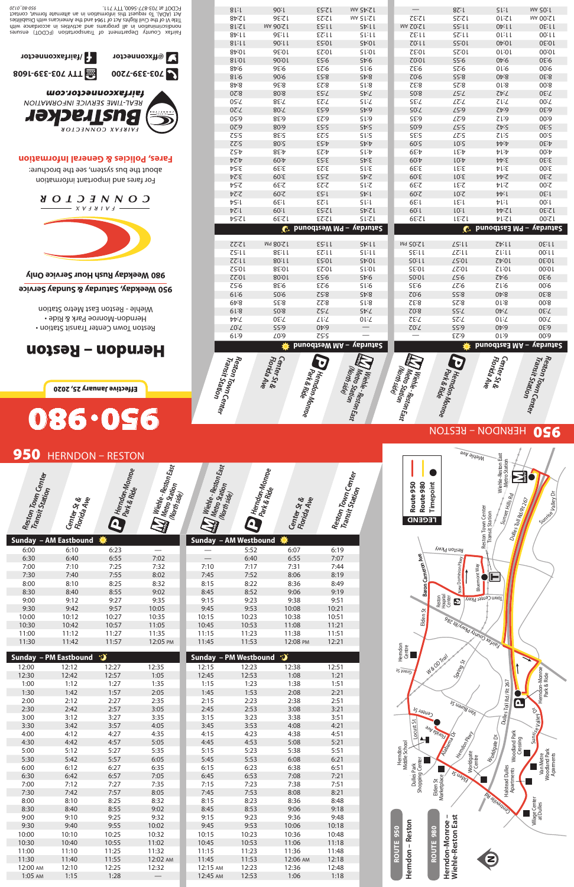# 950 HERNDON - RESTON



|       | Sunday – AM Eastbound ね |       |          |
|-------|-------------------------|-------|----------|
| 6:00  | 6:10                    | 6:23  |          |
| 6:30  | 6:40                    | 6:55  | 7:02     |
| 7:00  | 7:10                    | 7:25  | 7:32     |
| 7:30  | 7:40                    | 7:55  | 8:02     |
| 8:00  | 8:10                    | 8:25  | 8:32     |
| 8:30  | 8:40                    | 8:55  | 9:02     |
| 9:00  | 9:12                    | 9:27  | 9:35     |
| 9:30  | 9:42                    | 9:57  | 10:05    |
| 10:00 | 10:12                   | 10:27 | 10:35    |
| 10:30 | 10:42                   | 10:57 | 11:05    |
| 11:00 | 11:12                   | 11:27 | 11:35    |
| 11:30 | 11:42                   | 11:57 | 12:05 PM |

| -5    |                       |          |       |
|-------|-----------------------|----------|-------|
|       | Sunday - AM Westbound |          |       |
|       | 5:52                  | 6:07     | 6:19  |
|       | 6:40                  | 6:55     | 7:07  |
| 7:10  | 7:17                  | 7:31     | 7:44  |
| 7:45  | 7:52                  | 8:06     | 8:19  |
| 8:15  | 8:22                  | 8:36     | 8:49  |
| 8:45  | 8:52                  | 9:06     | 9:19  |
| 9:15  | 9:23                  | 9:38     | 9:51  |
| 9:45  | 9:53                  | 10:08    | 10:21 |
| 10:15 | 10:23                 | 10:38    | 10:51 |
| 10:45 | 10:53                 | 11:08    | 11:21 |
| 11:15 | 11:23                 | 11:38    | 11:51 |
| 11:45 | 11:53                 | 12:08 PM | 12:21 |
|       |                       |          |       |

|          | <b>Sunday - PM Eastbound</b> | D     |          | Sunday - PM Westbound |       | ∙ૐ       |       |
|----------|------------------------------|-------|----------|-----------------------|-------|----------|-------|
| 12:00    | 12:12                        | 12:27 | 12:35    | 12:15                 | 12:23 | 12:38    | 12:51 |
| 12:30    | 12:42                        | 12:57 | 1:05     | 12:45                 | 12:53 | 1:08     | 1:21  |
| 1:00     | 1:12                         | 1:27  | 1:35     | 1:15                  | 1:23  | 1:38     | 1:51  |
| 1:30     | 1:42                         | 1:57  | 2:05     | 1:45                  | 1:53  | 2:08     | 2:21  |
| 2:00     | 2:12                         | 2:27  | 2:35     | 2:15                  | 2:23  | 2:38     | 2:51  |
| 2:30     | 2:42                         | 2:57  | 3:05     | 2:45                  | 2:53  | 3:08     | 3:21  |
| 3:00     | 3:12                         | 3:27  | 3:35     | 3:15                  | 3:23  | 3:38     | 3:51  |
| 3:30     | 3:42                         | 3:57  | 4:05     | 3:45                  | 3:53  | 4:08     | 4:21  |
| 4:00     | 4:12                         | 4:27  | 4:35     | 4:15                  | 4:23  | 4:38     | 4:51  |
| 4:30     | 4:42                         | 4:57  | 5:05     | 4:45                  | 4:53  | 5:08     | 5:21  |
| 5:00     | 5:12                         | 5:27  | 5:35     | 5:15                  | 5:23  | 5:38     | 5:51  |
| 5:30     | 5:42                         | 5:57  | 6:05     | 5:45                  | 5:53  | 6:08     | 6:21  |
| 6:00     | 6:12                         | 6:27  | 6:35     | 6:15                  | 6:23  | 6:38     | 6:51  |
| 6:30     | 6:42                         | 6:57  | 7:05     | 6:45                  | 6:53  | 7:08     | 7:21  |
| 7:00     | 7:12                         | 7:27  | 7:35     | 7:15                  | 7:23  | 7:38     | 7:51  |
| 7:30     | 7:42                         | 7:57  | 8:05     | 7:45                  | 7:53  | 8:08     | 8:21  |
| 8:00     | 8:10                         | 8:25  | 8:32     | 8:15                  | 8:23  | 8:36     | 8:48  |
| 8:30     | 8:40                         | 8:55  | 9:02     | 8:45                  | 8:53  | 9:06     | 9:18  |
| 9:00     | 9:10                         | 9:25  | 9:32     | 9:15                  | 9:23  | 9:36     | 9:48  |
| 9:30     | 9:40                         | 9:55  | 10:02    | 9:45                  | 9:53  | 10:06    | 10:18 |
| 10:00    | 10:10                        | 10:25 | 10:32    | 10:15                 | 10:23 | 10:36    | 10:48 |
| 10:30    | 10:40                        | 10:55 | 11:02    | 10:45                 | 10:53 | 11:06    | 11:18 |
| 11:00    | 11:10                        | 11:25 | 11:32    | 11:15                 | 11:23 | 11:36    | 11:48 |
| 11:30    | 11:40                        | 11:55 | 12:02 AM | 11:45                 | 11:53 | 12:06 AM | 12:18 |
| 12:00 AM | 12:10                        | 12:25 | 12:32    | 12:15 AM              | 12:23 | 12:36    | 12:48 |
| 1:05 AM  | 1:15                         | 1:28  |          | 12:45 AM              | 12:53 | 1:06     | 1:18  |

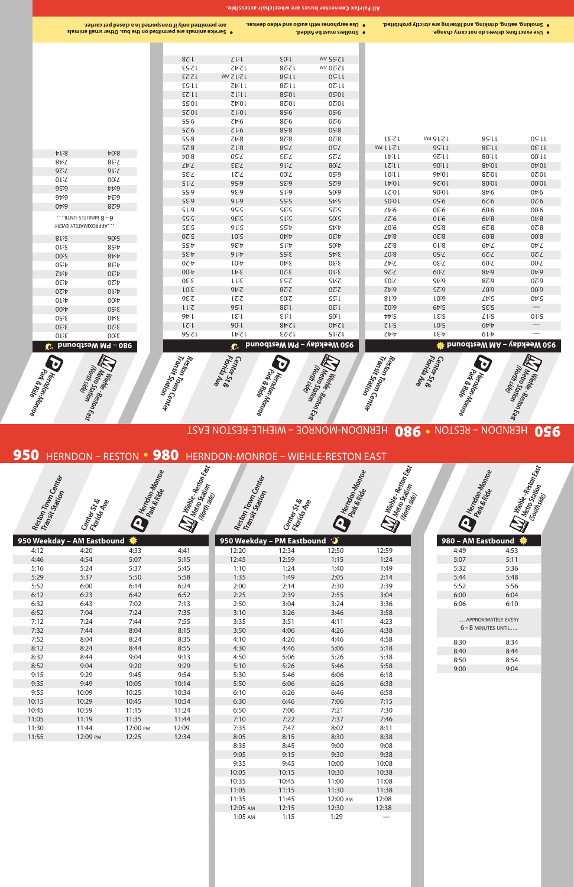

9:35 9:45 10:00 10:08 10:05 10:15 10:30 10:38 10:35 10:45 11:00 11:08 11:05 11:15 11:30 11:38 11:35 11:45 12:00 am 12:08 12:05 AM 12:15 12:30 12:38

1:05 AM 1:15 1:29

| <b>Simplemant</b>                            | $\frac{d\mathcal{U}}{\mathcal{S}_{UH_3\mathcal{U}_6}}$ , here here here the property of the property of the property of $\mathcal{S}_{UH_3\mathcal{U}_6}$ and $\mathcal{S}_{UH_3}$ and $\mathcal{S}_{UH_3}$ and $\mathcal{S}_{UH_3}$ and $\mathcal{S}_{UH_3}$ and $\mathcal{S}_{UH_3}$ and $\mathcal{S}_{UH_$ |  |
|----------------------------------------------|---------------------------------------------------------------------------------------------------------------------------------------------------------------------------------------------------------------------------------------------------------------------------------------------------------------|--|
| 980 - AM Eastbound                           |                                                                                                                                                                                                                                                                                                               |  |
| 4:49                                         | 4:53                                                                                                                                                                                                                                                                                                          |  |
| 5:07                                         | 5:11                                                                                                                                                                                                                                                                                                          |  |
| 5:32                                         | 5:36                                                                                                                                                                                                                                                                                                          |  |
| 5:44                                         | 5:48                                                                                                                                                                                                                                                                                                          |  |
| 5:52                                         | 5:56                                                                                                                                                                                                                                                                                                          |  |
| 6:00                                         | 6:04                                                                                                                                                                                                                                                                                                          |  |
| 6:06                                         | 6:10                                                                                                                                                                                                                                                                                                          |  |
| APPROXIMATELY EVERY<br>$6 - 8$ MINUTES UNTIL |                                                                                                                                                                                                                                                                                                               |  |
| 8:30                                         | 8:34                                                                                                                                                                                                                                                                                                          |  |
| 8:40                                         | 8:44                                                                                                                                                                                                                                                                                                          |  |
| 8:50                                         | 8:54                                                                                                                                                                                                                                                                                                          |  |
| 9:00                                         | 9:04                                                                                                                                                                                                                                                                                                          |  |
|                                              |                                                                                                                                                                                                                                                                                                               |  |